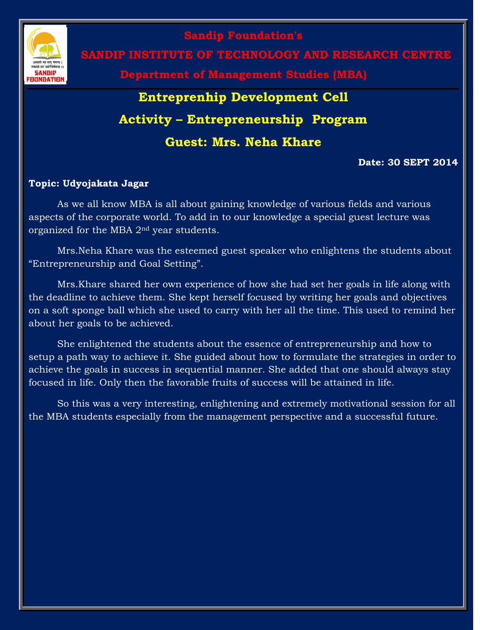**Sandip Foundation's** 



 **SANDIP INSTITUTE OF TECHNOLOGY AND RESEARCH CENTRE**

**Department of Management Studies (MBA)**

## **Entreprenhip Development Cell Activity – Entrepreneurship Program Guest: Mrs. Neha Khare**

## **Date: 30 SEPT 2014**

## **Topic: Udyojakata Jagar**

As we all know MBA is all about gaining knowledge of various fields and various aspects of the corporate world. To add in to our knowledge a special guest lecture was organized for the MBA 2nd year students.

Mrs.Neha Khare was the esteemed guest speaker who enlightens the students about "Entrepreneurship and Goal Setting".

Mrs.Khare shared her own experience of how she had set her goals in life along with the deadline to achieve them. She kept herself focused by writing her goals and objectives on a soft sponge ball which she used to carry with her all the time. This used to remind her about her goals to be achieved.

She enlightened the students about the essence of entrepreneurship and how to setup a path way to achieve it. She guided about how to formulate the strategies in order to achieve the goals in success in sequential manner. She added that one should always stay focused in life. Only then the favorable fruits of success will be attained in life.

So this was a very interesting, enlightening and extremely motivational session for all the MBA students especially from the management perspective and a successful future.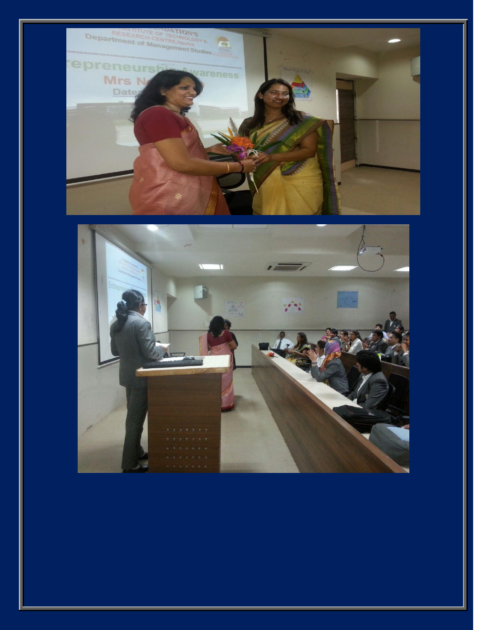